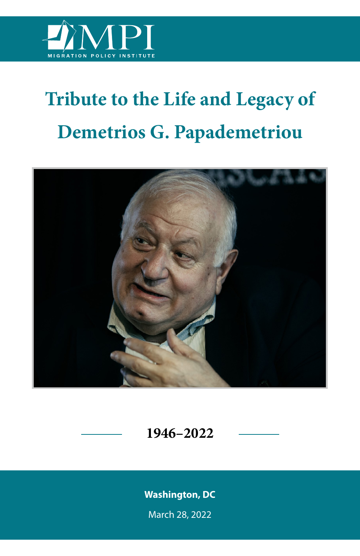

# **Tribute to the Life and Legacy of Demetrios G. Papademetriou**



**1946–2022**

**Washington, DC**

March 28, 2022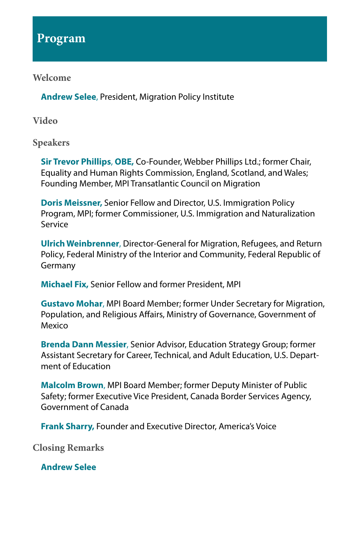### **Welcome**

**Andrew Selee**, President, Migration Policy Institute

**Video**

**Speakers**

**Sir Trevor Phillips**, **OBE,** Co-Founder, Webber Phillips Ltd.; former Chair, Equality and Human Rights Commission, England, Scotland, and Wales; Founding Member, MPI Transatlantic Council on Migration

**Doris Meissner,** Senior Fellow and Director, U.S. Immigration Policy Program, MPI; former Commissioner, U.S. Immigration and Naturalization Service

**Ulrich Weinbrenner**, Director-General for Migration, Refugees, and Return Policy, Federal Ministry of the Interior and Community, Federal Republic of Germany

**Michael Fix,** Senior Fellow and former President, MPI

**Gustavo Mohar**, MPI Board Member; former Under Secretary for Migration, Population, and Religious Affairs, Ministry of Governance, Government of Mexico

**Brenda Dann Messier**, Senior Advisor, Education Strategy Group; former Assistant Secretary for Career, Technical, and Adult Education, U.S. Department of Education

**Malcolm Brown**, MPI Board Member; former Deputy Minister of Public Safety; former Executive Vice President, Canada Border Services Agency, Government of Canada

**Frank Sharry,** Founder and Executive Director, America's Voice

**Closing Remarks** 

**Andrew Selee**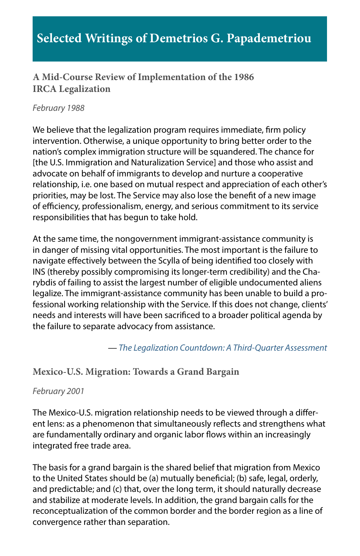## **A Mid-Course Review of Implementation of the 1986 IRCA Legalization**

#### *February 1988*

We believe that the legalization program requires immediate, firm policy intervention. Otherwise, a unique opportunity to bring better order to the nation's complex immigration structure will be squandered. The chance for [the U.S. Immigration and Naturalization Service] and those who assist and advocate on behalf of immigrants to develop and nurture a cooperative relationship, i.e. one based on mutual respect and appreciation of each other's priorities, may be lost. The Service may also lose the benefit of a new image of efficiency, professionalism, energy, and serious commitment to its service responsibilities that has begun to take hold.

At the same time, the nongovernment immigrant-assistance community is in danger of missing vital opportunities. The most important is the failure to navigate effectively between the Scylla of being identified too closely with INS (thereby possibly compromising its longer-term credibility) and the Charybdis of failing to assist the largest number of eligible undocumented aliens legalize. The immigrant-assistance community has been unable to build a professional working relationship with the Service. If this does not change, clients' needs and interests will have been sacrificed to a broader political agenda by the failure to separate advocacy from assistance.

*— [The Legalization Countdown: A Third-Quarter Assessment](https://files.eric.ed.gov/fulltext/ED291836.pdf)*

### **Mexico-U.S. Migration: Towards a Grand Bargain**

#### *February 2001*

The Mexico-U.S. migration relationship needs to be viewed through a different lens: as a phenomenon that simultaneously reflects and strengthens what are fundamentally ordinary and organic labor flows within an increasingly integrated free trade area.

The basis for a grand bargain is the shared belief that migration from Mexico to the United States should be (a) mutually beneficial; (b) safe, legal, orderly, and predictable; and (c) that, over the long term, it should naturally decrease and stabilize at moderate levels. In addition, the grand bargain calls for the reconceptualization of the common border and the border region as a line of convergence rather than separation.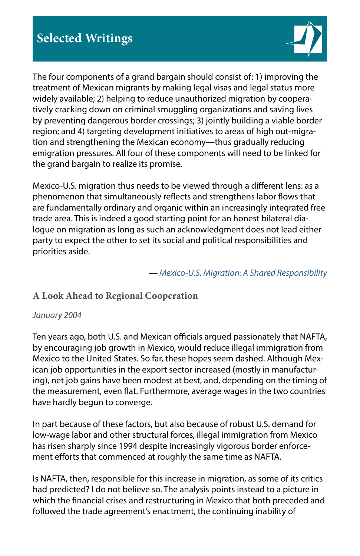

The four components of a grand bargain should consist of: 1) improving the treatment of Mexican migrants by making legal visas and legal status more widely available; 2) helping to reduce unauthorized migration by cooperatively cracking down on criminal smuggling organizations and saving lives by preventing dangerous border crossings; 3) jointly building a viable border region; and 4) targeting development initiatives to areas of high out-migration and strengthening the Mexican economy—thus gradually reducing emigration pressures. All four of these components will need to be linked for the grand bargain to realize its promise.

Mexico-U.S. migration thus needs to be viewed through a different lens: as a phenomenon that simultaneously reflects and strengthens labor flows that are fundamentally ordinary and organic within an increasingly integrated free trade area. This is indeed a good starting point for an honest bilateral dialogue on migration as long as such an acknowledgment does not lead either party to expect the other to set its social and political responsibilities and priorities aside.

*— [Mexico-U.S. Migration: A Shared Responsibility](https://carnegieendowment.org/pdf/files/M exicoReport2001.pdf)*

# **A Look Ahead to Regional Cooperation**

### *January 2004*

Ten years ago, both U.S. and Mexican officials argued passionately that NAFTA, by encouraging job growth in Mexico, would reduce illegal immigration from Mexico to the United States. So far, these hopes seem dashed. Although Mexican job opportunities in the export sector increased (mostly in manufacturing), net job gains have been modest at best, and, depending on the timing of the measurement, even flat. Furthermore, average wages in the two countries have hardly begun to converge.

In part because of these factors, but also because of robust U.S. demand for low-wage labor and other structural forces, illegal immigration from Mexico has risen sharply since 1994 despite increasingly vigorous border enforcement efforts that commenced at roughly the same time as NAFTA.

Is NAFTA, then, responsible for this increase in migration, as some of its critics had predicted? I do not believe so. The analysis points instead to a picture in which the financial crises and restructuring in Mexico that both preceded and followed the trade agreement's enactment, the continuing inability of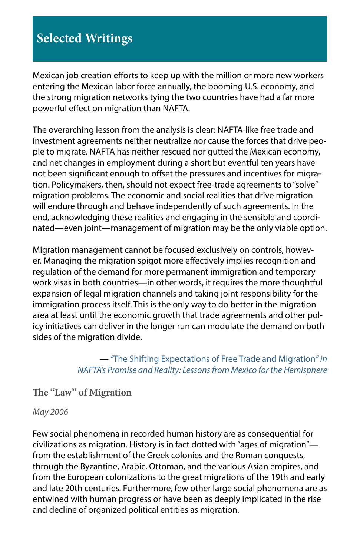Mexican job creation efforts to keep up with the million or more new workers entering the Mexican labor force annually, the booming U.S. economy, and the strong migration networks tying the two countries have had a far more powerful effect on migration than NAFTA.

The overarching lesson from the analysis is clear: NAFTA-like free trade and investment agreements neither neutralize nor cause the forces that drive people to migrate. NAFTA has neither rescued nor gutted the Mexican economy, and net changes in employment during a short but eventful ten years have not been significant enough to offset the pressures and incentives for migration. Policymakers, then, should not expect free-trade agreements to "solve" migration problems. The economic and social realities that drive migration will endure through and behave independently of such agreements. In the end, acknowledging these realities and engaging in the sensible and coordinated—even joint—management of migration may be the only viable option.

Migration management cannot be focused exclusively on controls, however. Managing the migration spigot more effectively implies recognition and regulation of the demand for more permanent immigration and temporary work visas in both countries—in other words, it requires the more thoughtful expansion of legal migration channels and taking joint responsibility for the immigration process itself. This is the only way to do better in the migration area at least until the economic growth that trade agreements and other policy initiatives can deliver in the longer run can modulate the demand on both sides of the migration divide.

### *— "*[The Shifting Expectations of Free Trade and Migration](https://www.migrationpolicy.org/research/naftas-promise-and-reality-lessons-mexico-hemisphere)*" in [NAFTA's Promise and Reality: Lessons from Mexico for the Hemisphere](https://www.migrationpolicy.org/research/naftas-promise-and-reality-lessons-mexico-hemisphere)*

## **The "Law" of Migration**

#### *May 2006*

Few social phenomena in recorded human history are as consequential for civilizations as migration. History is in fact dotted with "ages of migration" from the establishment of the Greek colonies and the Roman conquests, through the Byzantine, Arabic, Ottoman, and the various Asian empires, and from the European colonizations to the great migrations of the 19th and early and late 20th centuries. Furthermore, few other large social phenomena are as entwined with human progress or have been as deeply implicated in the rise and decline of organized political entities as migration.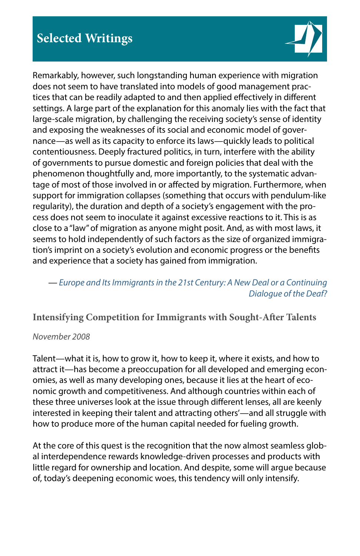

Remarkably, however, such longstanding human experience with migration does not seem to have translated into models of good management practices that can be readily adapted to and then applied effectively in different settings. A large part of the explanation for this anomaly lies with the fact that large-scale migration, by challenging the receiving society's sense of identity and exposing the weaknesses of its social and economic model of governance—as well as its capacity to enforce its laws—quickly leads to political contentiousness. Deeply fractured politics, in turn, interfere with the ability of governments to pursue domestic and foreign policies that deal with the phenomenon thoughtfully and, more importantly, to the systematic advantage of most of those involved in or affected by migration. Furthermore, when support for immigration collapses (something that occurs with pendulum-like regularity), the duration and depth of a society's engagement with the process does not seem to inoculate it against excessive reactions to it. This is as close to a "law" of migration as anyone might posit. And, as with most laws, it seems to hold independently of such factors as the size of organized immigration's imprint on a society's evolution and economic progress or the benefits and experience that a society has gained from immigration.

### *— [Europe and Its Immigrants in the 21st Century: A New Deal or a Continuing](https://www.migrationpolicy.org/research/europe-and-its-immigrants-21st-century-new-deal-or-continuing-dialogue-deaf) [Dialogue of the Deaf?](https://www.migrationpolicy.org/research/europe-and-its-immigrants-21st-century-new-deal-or-continuing-dialogue-deaf)*

# **Intensifying Competition for Immigrants with Sought-After Talents**

### *November 2008*

Talent—what it is, how to grow it, how to keep it, where it exists, and how to attract it—has become a preoccupation for all developed and emerging economies, as well as many developing ones, because it lies at the heart of economic growth and competitiveness. And although countries within each of these three universes look at the issue through different lenses, all are keenly interested in keeping their talent and attracting others'—and all struggle with how to produce more of the human capital needed for fueling growth.

At the core of this quest is the recognition that the now almost seamless global interdependence rewards knowledge-driven processes and products with little regard for ownership and location. And despite, some will argue because of, today's deepening economic woes, this tendency will only intensify.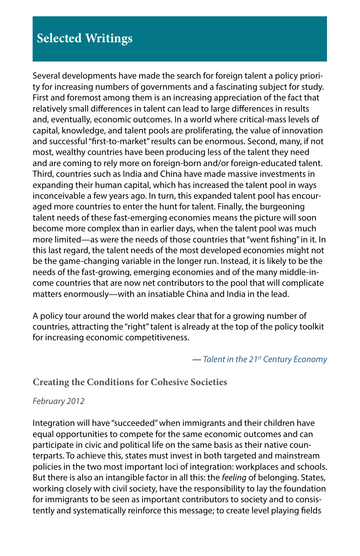Several developments have made the search for foreign talent a policy priority for increasing numbers of governments and a fascinating subject for study. First and foremost among them is an increasing appreciation of the fact that relatively small differences in talent can lead to large differences in results and, eventually, economic outcomes. In a world where critical-mass levels of capital, knowledge, and talent pools are proliferating, the value of innovation and successful "first-to-market" results can be enormous. Second, many, if not most, wealthy countries have been producing less of the talent they need and are coming to rely more on foreign-born and/or foreign-educated talent. Third, countries such as India and China have made massive investments in expanding their human capital, which has increased the talent pool in ways inconceivable a few years ago. In turn, this expanded talent pool has encouraged more countries to enter the hunt for talent. Finally, the burgeoning talent needs of these fast-emerging economies means the picture will soon become more complex than in earlier days, when the talent pool was much more limited—as were the needs of those countries that "went fishing" in it. In this last regard, the talent needs of the most developed economies might not be the game-changing variable in the longer run. Instead, it is likely to be the needs of the fast-growing, emerging economies and of the many middle-income countries that are now net contributors to the pool that will complicate matters enormously—with an insatiable China and India in the lead.

A policy tour around the world makes clear that for a growing number of countries, attracting the "right" talent is already at the top of the policy toolkit for increasing economic competitiveness.

*— [Talent in the 21st Century Economy](https://www.migrationpolicy.org/research/talent-21st-century-economy)*

### **Creating the Conditions for Cohesive Societies**

#### *February 2012*

Integration will have "succeeded" when immigrants and their children have equal opportunities to compete for the same economic outcomes and can participate in civic and political life on the same basis as their native counterparts. To achieve this, states must invest in both targeted and mainstream policies in the two most important loci of integration: workplaces and schools. But there is also an intangible factor in all this: the *feeling* of belonging. States, working closely with civil society, have the responsibility to lay the foundation for immigrants to be seen as important contributors to society and to consistently and systematically reinforce this message; to create level playing fields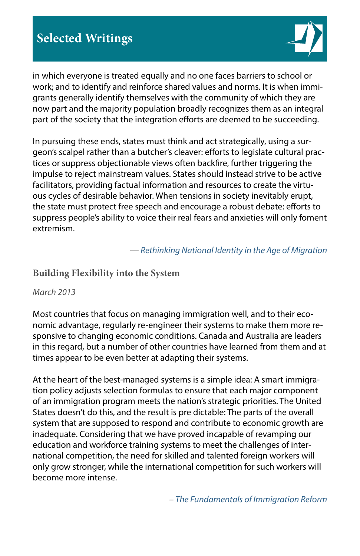

in which everyone is treated equally and no one faces barriers to school or work; and to identify and reinforce shared values and norms. It is when immigrants generally identify themselves with the community of which they are now part and the majority population broadly recognizes them as an integral part of the society that the integration efforts are deemed to be succeeding.

In pursuing these ends, states must think and act strategically, using a surgeon's scalpel rather than a butcher's cleaver: efforts to legislate cultural practices or suppress objectionable views often backfire, further triggering the impulse to reject mainstream values. States should instead strive to be active facilitators, providing factual information and resources to create the virtuous cycles of desirable behavior. When tensions in society inevitably erupt, the state must protect free speech and encourage a robust debate: efforts to suppress people's ability to voice their real fears and anxieties will only foment extremism.

*— [Rethinking National Identity in the Age of Migration](https://www.migrationpolicy.org/research/tcm-rethinking-national-identity-council-statement)*

### **Building Flexibility into the System**

#### *March 2013*

Most countries that focus on managing immigration well, and to their economic advantage, regularly re-engineer their systems to make them more responsive to changing economic conditions. Canada and Australia are leaders in this regard, but a number of other countries have learned from them and at times appear to be even better at adapting their systems.

At the heart of the best-managed systems is a simple idea: A smart immigration policy adjusts selection formulas to ensure that each major component of an immigration program meets the nation's strategic priorities. The United States doesn't do this, and the result is pre dictable: The parts of the overall system that are supposed to respond and contribute to economic growth are inadequate. Considering that we have proved incapable of revamping our education and workforce training systems to meet the challenges of international competition, the need for skilled and talented foreign workers will only grow stronger, while the international competition for such workers will become more intense.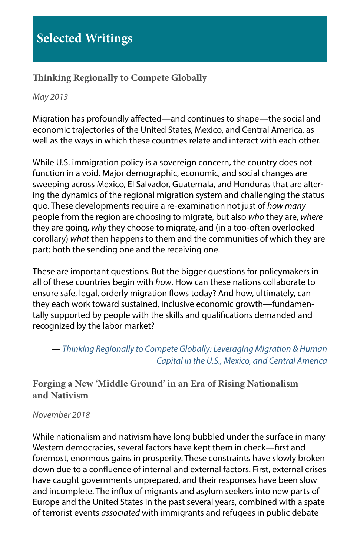# **Thinking Regionally to Compete Globally**

### *May 2013*

Migration has profoundly affected—and continues to shape—the social and economic trajectories of the United States, Mexico, and Central America, as well as the ways in which these countries relate and interact with each other.

While U.S. immigration policy is a sovereign concern, the country does not function in a void. Major demographic, economic, and social changes are sweeping across Mexico, El Salvador, Guatemala, and Honduras that are altering the dynamics of the regional migration system and challenging the status quo. These developments require a re-examination not just of *how many* people from the region are choosing to migrate, but also *who* they are, *where* they are going, *why* they choose to migrate, and (in a too-often overlooked corollary) *what* then happens to them and the communities of which they are part: both the sending one and the receiving one.

These are important questions. But the bigger questions for policymakers in all of these countries begin with *how*. How can these nations collaborate to ensure safe, legal, orderly migration flows today? And how, ultimately, can they each work toward sustained, inclusive economic growth—fundamentally supported by people with the skills and qualifications demanded and recognized by the labor market?

*— [Thinking Regionally to Compete Globally: Leveraging Migration & Human](https://www.migrationpolicy.org/research/thinking-regionally-compete-globally-leveraging-migration-human-capital-us-mexico-and) [Capital in the U.S., Mexico, and Central America](https://www.migrationpolicy.org/research/thinking-regionally-compete-globally-leveraging-migration-human-capital-us-mexico-and)*

# **Forging a New 'Middle Ground' in an Era of Rising Nationalism and Nativism**

### *November 2018*

While nationalism and nativism have long bubbled under the surface in many Western democracies, several factors have kept them in check—first and foremost, enormous gains in prosperity. These constraints have slowly broken down due to a confluence of internal and external factors. First, external crises have caught governments unprepared, and their responses have been slow and incomplete. The influx of migrants and asylum seekers into new parts of Europe and the United States in the past several years, combined with a spate of terrorist events *associated* with immigrants and refugees in public debate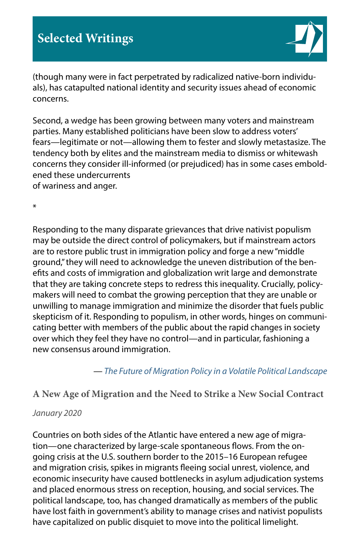

(though many were in fact perpetrated by radicalized native-born individuals), has catapulted national identity and security issues ahead of economic concerns.

Second, a wedge has been growing between many voters and mainstream parties. Many established politicians have been slow to address voters' fears—legitimate or not—allowing them to fester and slowly metastasize. The tendency both by elites and the mainstream media to dismiss or whitewash concerns they consider ill-informed (or prejudiced) has in some cases emboldened these undercurrents of wariness and anger.

\*

Responding to the many disparate grievances that drive nativist populism may be outside the direct control of policymakers, but if mainstream actors are to restore public trust in immigration policy and forge a new "middle ground," they will need to acknowledge the uneven distribution of the benefits and costs of immigration and globalization writ large and demonstrate that they are taking concrete steps to redress this inequality. Crucially, policymakers will need to combat the growing perception that they are unable or unwilling to manage immigration and minimize the disorder that fuels public skepticism of it. Responding to populism, in other words, hinges on communicating better with members of the public about the rapid changes in society over which they feel they have no control—and in particular, fashioning a new consensus around immigration.

# *— [The Future of Migration Policy in a Volatile Political Landscape](https://www.migrationpolicy.org/research/migration-policy-volatile-political-landscape)*

# **A New Age of Migration and the Need to Strike a New Social Contract**

### *January 2020*

Countries on both sides of the Atlantic have entered a new age of migration—one characterized by large-scale spontaneous flows. From the ongoing crisis at the U.S. southern border to the 2015–16 European refugee and migration crisis, spikes in migrants fleeing social unrest, violence, and economic insecurity have caused bottlenecks in asylum adjudication systems and placed enormous stress on reception, housing, and social services. The political landscape, too, has changed dramatically as members of the public have lost faith in government's ability to manage crises and nativist populists have capitalized on public disquiet to move into the political limelight.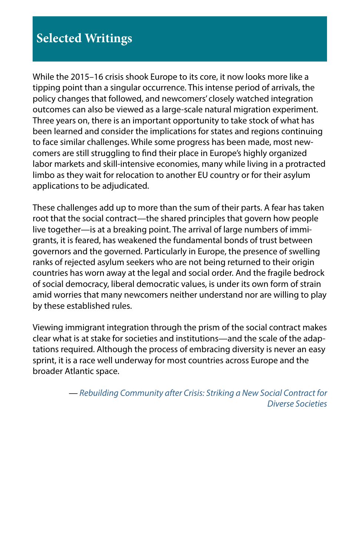While the 2015–16 crisis shook Europe to its core, it now looks more like a tipping point than a singular occurrence. This intense period of arrivals, the policy changes that followed, and newcomers' closely watched integration outcomes can also be viewed as a large-scale natural migration experiment. Three years on, there is an important opportunity to take stock of what has been learned and consider the implications for states and regions continuing to face similar challenges. While some progress has been made, most newcomers are still struggling to find their place in Europe's highly organized labor markets and skill-intensive economies, many while living in a protracted limbo as they wait for relocation to another EU country or for their asylum applications to be adjudicated.

These challenges add up to more than the sum of their parts. A fear has taken root that the social contract—the shared principles that govern how people live together—is at a breaking point. The arrival of large numbers of immigrants, it is feared, has weakened the fundamental bonds of trust between governors and the governed. Particularly in Europe, the presence of swelling ranks of rejected asylum seekers who are not being returned to their origin countries has worn away at the legal and social order. And the fragile bedrock of social democracy, liberal democratic values, is under its own form of strain amid worries that many newcomers neither understand nor are willing to play by these established rules.

Viewing immigrant integration through the prism of the social contract makes clear what is at stake for societies and institutions—and the scale of the adaptations required. Although the process of embracing diversity is never an easy sprint, it is a race well underway for most countries across Europe and the broader Atlantic space.

> *— [Rebuilding Community after Crisis: Striking a New Social Contract for](https://www.migrationpolicy.org/research/rebuilding-community-after-crisis-transatlantic-council-statement) [Diverse Societies](https://www.migrationpolicy.org/research/rebuilding-community-after-crisis-transatlantic-council-statement)*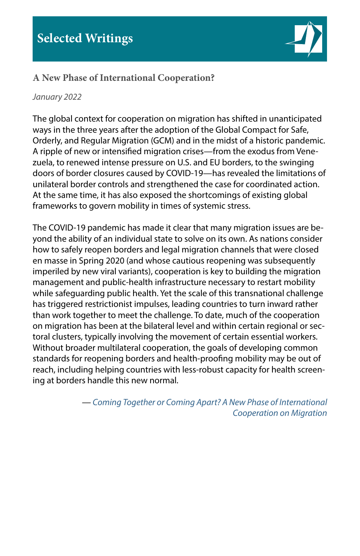

# **A New Phase of International Cooperation?**

### *January 2022*

The global context for cooperation on migration has shifted in unanticipated ways in the three years after the adoption of the Global Compact for Safe, Orderly, and Regular Migration (GCM) and in the midst of a historic pandemic. A ripple of new or intensified migration crises—from the exodus from Venezuela, to renewed intense pressure on U.S. and EU borders, to the swinging doors of border closures caused by COVID-19—has revealed the limitations of unilateral border controls and strengthened the case for coordinated action. At the same time, it has also exposed the shortcomings of existing global frameworks to govern mobility in times of systemic stress.

The COVID-19 pandemic has made it clear that many migration issues are beyond the ability of an individual state to solve on its own. As nations consider how to safely reopen borders and legal migration channels that were closed en masse in Spring 2020 (and whose cautious reopening was subsequently imperiled by new viral variants), cooperation is key to building the migration management and public-health infrastructure necessary to restart mobility while safeguarding public health. Yet the scale of this transnational challenge has triggered restrictionist impulses, leading countries to turn inward rather than work together to meet the challenge. To date, much of the cooperation on migration has been at the bilateral level and within certain regional or sectoral clusters, typically involving the movement of certain essential workers. Without broader multilateral cooperation, the goals of developing common standards for reopening borders and health-proofing mobility may be out of reach, including helping countries with less-robust capacity for health screening at borders handle this new normal.

> *— [Coming Together or Coming Apart? A New Phase of International](https://www.migrationpolicy.org/research/new-phase-international-cooperation-migration) [Cooperation on Migration](https://www.migrationpolicy.org/research/new-phase-international-cooperation-migration)*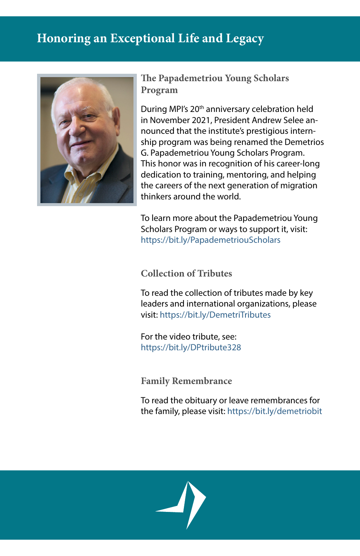# **Honoring an Exceptional Life and Legacy**



**The Papademetriou Young Scholars Program**

During MPI's 20<sup>th</sup> anniversary celebration held in November 2021, President Andrew Selee announced that the institute's prestigious internship program was being renamed the Demetrios G. Papademetriou Young Scholars Program. This honor was in recognition of his career-long dedication to training, mentoring, and helping the careers of the next generation of migration thinkers around the world.

To learn more about the Papademetriou Young Scholars Program or ways to support it, visit: <https://bit.ly/PapademetriouScholars>

### **Collection of Tributes**

To read the collection of tributes made by key leaders and international organizations, please visit: <https://bit.ly/DemetriTributes>

For the video tribute, see: [https://bit.ly/DPtribute328](https://www.migrationpolicy.org/events/celebration-life-demetrios-papademetriou)

**Family Remembrance**

To read the obituary or leave remembrances for the family, please visit:<https://bit.ly/demetriobit>